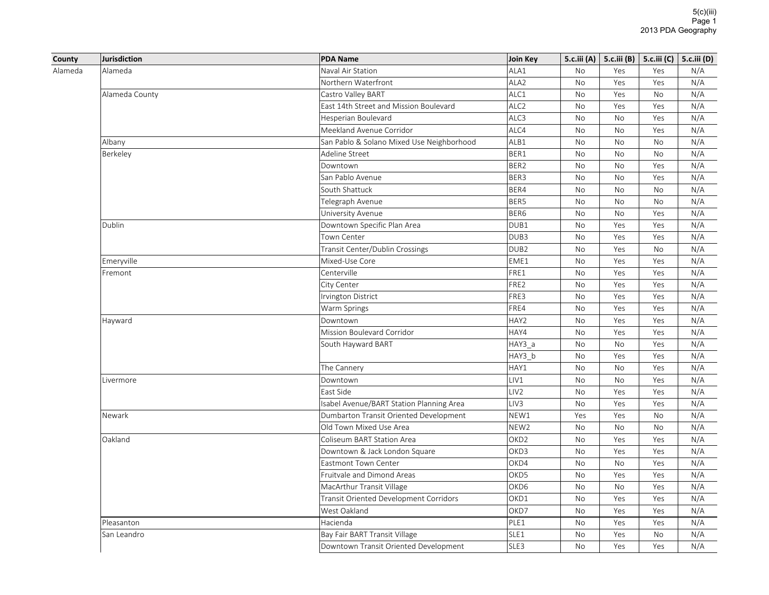|                   | Jurisdiction   | <b>PDA Name</b>                           | Join Key         |           | 5.c.iii (A)   5.c.iii (B)   5.c.iii (C)   5.c.iii (D) |           |     |
|-------------------|----------------|-------------------------------------------|------------------|-----------|-------------------------------------------------------|-----------|-----|
|                   | Alameda        | Naval Air Station                         | ALA1             | <b>No</b> | Yes                                                   | Yes       | N/A |
|                   |                | Northern Waterfront                       | ALA2             | <b>No</b> | Yes                                                   | Yes       | N/A |
|                   | Alameda County | Castro Valley BART                        | ALC1             | No        | Yes                                                   | No        | N/A |
|                   |                | East 14th Street and Mission Boulevard    | ALC <sub>2</sub> | No        | Yes                                                   | Yes       | N/A |
|                   |                | Hesperian Boulevard                       | ALC3             | No        | No                                                    | Yes       | N/A |
|                   |                | Meekland Avenue Corridor                  | ALC4             | No        | <b>No</b>                                             | Yes       | N/A |
|                   | Albany         | San Pablo & Solano Mixed Use Neighborhood | ALB1             | No        | No                                                    | No        | N/A |
|                   | Berkeley       | Adeline Street                            | BER1             | No        | No                                                    | No        | N/A |
|                   |                | Downtown                                  | BER2             | No        | No                                                    | Yes       | N/A |
|                   |                | San Pablo Avenue                          | BER3             | No        | No                                                    | Yes       | N/A |
|                   |                | South Shattuck                            | BER4             | No        | No                                                    | No        | N/A |
|                   |                | Telegraph Avenue                          | BER5             | No        | No                                                    | No        | N/A |
| County<br>Alameda |                | University Avenue                         | BER6             | <b>No</b> | <b>No</b>                                             | Yes       | N/A |
|                   | Dublin         | Downtown Specific Plan Area               | DUB1             | No        | Yes                                                   | Yes       | N/A |
|                   |                | Town Center                               | DUB3             | <b>No</b> | Yes                                                   | Yes       | N/A |
|                   |                | Transit Center/Dublin Crossings           | DUB <sub>2</sub> | <b>No</b> | Yes                                                   | <b>No</b> | N/A |
|                   | Emeryville     | Mixed-Use Core                            | EME1             | No        | Yes                                                   | Yes       | N/A |
|                   | Fremont        | Centerville                               | FRE1             | <b>No</b> | Yes                                                   | Yes       | N/A |
|                   |                | City Center                               | FRE2             | <b>No</b> | Yes                                                   | Yes       | N/A |
|                   |                | Irvington District                        | FRE3             | No        | Yes                                                   | Yes       | N/A |
|                   |                | Warm Springs                              | FRE4             | No        | Yes                                                   | Yes       | N/A |
|                   | Hayward        | Downtown                                  | HAY2             | <b>No</b> | Yes                                                   | Yes       | N/A |
|                   |                | Mission Boulevard Corridor                | HAY4             | No        | Yes                                                   | Yes       | N/A |
|                   |                | South Hayward BART                        | HAY3 a           | No        | <b>No</b>                                             | Yes       | N/A |
|                   |                |                                           | HAY3_b           | <b>No</b> | Yes                                                   | Yes       | N/A |
|                   |                | The Cannery                               | HAY1             | No        | No                                                    | Yes       | N/A |
|                   | Livermore      | Downtown                                  | LIV1             | <b>No</b> | <b>No</b>                                             | Yes       | N/A |
|                   |                | East Side                                 | LIV <sub>2</sub> | <b>No</b> | Yes                                                   | Yes       | N/A |
|                   |                | Isabel Avenue/BART Station Planning Area  | LIV3             | No        | Yes                                                   | Yes       | N/A |
|                   | Newark         | Dumbarton Transit Oriented Development    | NEW1             | Yes       | Yes                                                   | <b>No</b> | N/A |
|                   |                | Old Town Mixed Use Area                   | NEW <sub>2</sub> | No        | No                                                    | No        | N/A |
|                   | Oakland        | Coliseum BART Station Area                | OKD <sub>2</sub> | No        | Yes                                                   | Yes       | N/A |
|                   |                | Downtown & Jack London Square             | OKD3             | No        | Yes                                                   | Yes       | N/A |
|                   |                | Eastmont Town Center                      | OKD4             | No        | No                                                    | Yes       | N/A |
|                   |                | Fruitvale and Dimond Areas                | OKD5             | No        | Yes                                                   | Yes       | N/A |
|                   |                | MacArthur Transit Village                 | OKD6             | No        | No                                                    | Yes       | N/A |
|                   |                | Transit Oriented Development Corridors    | OKD1             | No        | Yes                                                   | Yes       | N/A |
|                   |                | West Oakland                              | OKD7             | No        | Yes                                                   | Yes       | N/A |
|                   | Pleasanton     | Hacienda                                  | PLE1             | No        | Yes                                                   | Yes       | N/A |
|                   | San Leandro    | Bay Fair BART Transit Village             | SLE1             | No        | Yes                                                   | No        | N/A |
|                   |                | Downtown Transit Oriented Development     | SLE3             | <b>No</b> | Yes                                                   | Yes       | N/A |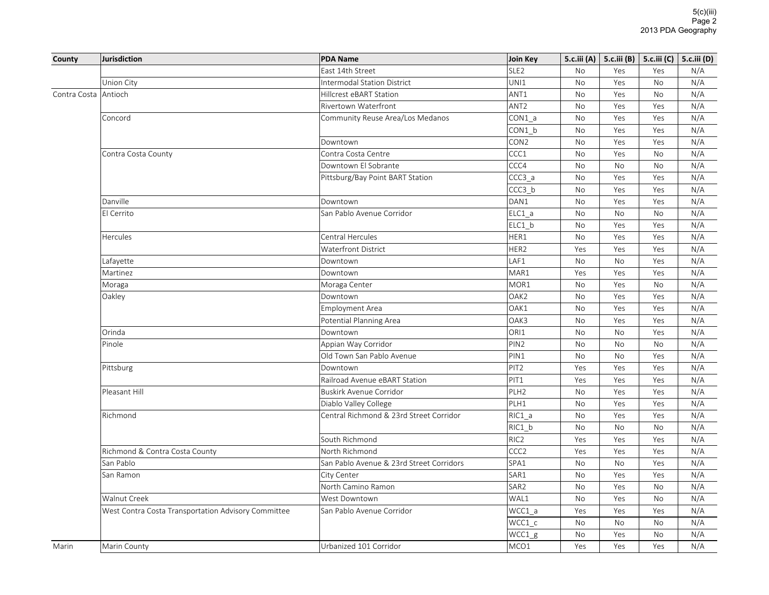| County               | <b>Jurisdiction</b>                                 | <b>PDA Name</b>                          | Join Key         |           | 5.c.iii (A)   5.c.iii (B)   5.c.iii (C)   5.c.iii (D) |           |     |
|----------------------|-----------------------------------------------------|------------------------------------------|------------------|-----------|-------------------------------------------------------|-----------|-----|
|                      |                                                     | East 14th Street                         | SLE <sub>2</sub> | <b>No</b> | Yes                                                   | Yes       | N/A |
|                      | Union City                                          | <b>Intermodal Station District</b>       | UNI1             | No        | Yes                                                   | No        | N/A |
| Contra Costa Antioch |                                                     | Hillcrest eBART Station                  | ANT1             | No        | Yes                                                   | No        | N/A |
|                      |                                                     | Rivertown Waterfront                     | ANT <sub>2</sub> | No        | Yes                                                   | Yes       | N/A |
|                      | Concord                                             | Community Reuse Area/Los Medanos         | CON1 a           | <b>No</b> | Yes                                                   | Yes       | N/A |
|                      |                                                     |                                          | CON1 b           | No        | Yes                                                   | Yes       | N/A |
|                      |                                                     | Downtown                                 | CON <sub>2</sub> | No        | Yes                                                   | Yes       | N/A |
|                      | Contra Costa County                                 | Contra Costa Centre                      | CCC1             | <b>No</b> | Yes                                                   | No        | N/A |
|                      |                                                     | Downtown El Sobrante                     | CCC4             | <b>No</b> | <b>No</b>                                             | No        | N/A |
|                      |                                                     | Pittsburg/Bay Point BART Station         | CCC3 a           | <b>No</b> | Yes                                                   | Yes       | N/A |
|                      |                                                     |                                          | CCC3_b           | <b>No</b> | Yes                                                   | Yes       | N/A |
|                      | Danville                                            | Downtown                                 | DAN1             | No        | Yes                                                   | Yes       | N/A |
|                      | El Cerrito                                          | San Pablo Avenue Corridor                | $ELC1_a$         | <b>No</b> | <b>No</b>                                             | <b>No</b> | N/A |
|                      |                                                     |                                          | ELC1 b           | No        | Yes                                                   | Yes       | N/A |
|                      | Hercules                                            | Central Hercules                         | HER1             | No        | Yes                                                   | Yes       | N/A |
|                      |                                                     | Waterfront District                      | HER2             | Yes       | Yes                                                   | Yes       | N/A |
|                      | Lafayette                                           | Downtown                                 | LAF1             | No        | No                                                    | Yes       | N/A |
|                      | Martinez                                            | Downtown                                 | MAR1             | Yes       | Yes                                                   | Yes       | N/A |
|                      | Moraga                                              | Moraga Center                            | MOR1             | No        | Yes                                                   | No        | N/A |
|                      | Oakley                                              | Downtown                                 | OAK2             | No        | Yes                                                   | Yes       | N/A |
|                      |                                                     | <b>Employment Area</b>                   | OAK1             | No        | Yes                                                   | Yes       | N/A |
|                      |                                                     | Potential Planning Area                  | OAK3             | No        | Yes                                                   | Yes       | N/A |
|                      | Orinda                                              | Downtown                                 | ORI1             | No        | <b>No</b>                                             | Yes       | N/A |
|                      | Pinole                                              | Appian Way Corridor                      | PIN <sub>2</sub> | <b>No</b> | <b>No</b>                                             | <b>No</b> | N/A |
|                      |                                                     | Old Town San Pablo Avenue                | PIN1             | No        | No                                                    | Yes       | N/A |
|                      | Pittsburg                                           | Downtown                                 | PIT <sub>2</sub> | Yes       | Yes                                                   | Yes       | N/A |
|                      |                                                     | Railroad Avenue eBART Station            | PIT <sub>1</sub> | Yes       | Yes                                                   | Yes       | N/A |
|                      | Pleasant Hill                                       | <b>Buskirk Avenue Corridor</b>           | PLH <sub>2</sub> | No        | Yes                                                   | Yes       | N/A |
|                      |                                                     | Diablo Valley College                    | PLH1             | No        | Yes                                                   | Yes       | N/A |
|                      | Richmond                                            | Central Richmond & 23rd Street Corridor  | $RIC1_a$         | No        | Yes                                                   | Yes       | N/A |
|                      |                                                     |                                          | RIC1 b           | No        | No                                                    | No        | N/A |
|                      |                                                     | South Richmond                           | RIC <sub>2</sub> | Yes       | Yes                                                   | Yes       | N/A |
|                      | Richmond & Contra Costa County                      | North Richmond                           | CCC <sub>2</sub> | Yes       | Yes                                                   | Yes       | N/A |
|                      | San Pablo                                           | San Pablo Avenue & 23rd Street Corridors | SPA1             | No        | No                                                    | Yes       | N/A |
|                      | San Ramon                                           | City Center                              | SAR1             | No        | Yes                                                   | Yes       | N/A |
|                      |                                                     | North Camino Ramon                       | SAR <sub>2</sub> | No        | Yes                                                   | <b>No</b> | N/A |
|                      | Walnut Creek                                        | West Downtown                            | WAL1             | <b>No</b> | Yes                                                   | <b>No</b> | N/A |
|                      | West Contra Costa Transportation Advisory Committee | San Pablo Avenue Corridor                | WCC1 a           | Yes       | Yes                                                   | Yes       | N/A |
|                      |                                                     |                                          | WCC1_c           | No        | <b>No</b>                                             | <b>No</b> | N/A |
|                      |                                                     |                                          | WCC1_g           | No        | Yes                                                   | No        | N/A |
| Marin                | Marin County                                        | Urbanized 101 Corridor                   | MCO1             | Yes       | Yes                                                   | Yes       | N/A |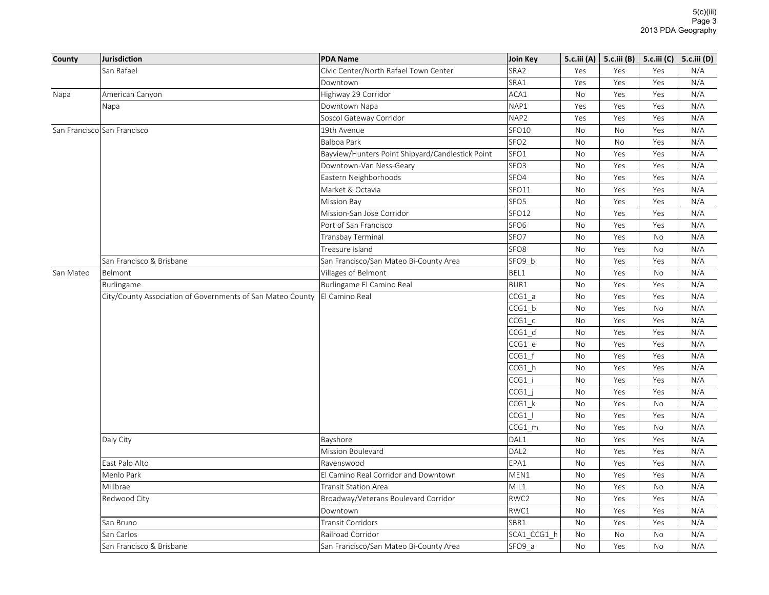| County    | Jurisdiction                                               | <b>PDA Name</b>                                  | Join Key          | 5.c.iii (A) $\vert$ |     | 5.c.iii (B)   5.c.iii (C)   5.c.iii (D) |     |
|-----------|------------------------------------------------------------|--------------------------------------------------|-------------------|---------------------|-----|-----------------------------------------|-----|
|           | San Rafael                                                 | Civic Center/North Rafael Town Center            | SRA <sub>2</sub>  | Yes                 | Yes | Yes                                     | N/A |
|           |                                                            | Downtown                                         | SRA1              | Yes                 | Yes | Yes                                     | N/A |
| Napa      | American Canyon                                            | Highway 29 Corridor                              | ACA1              | No                  | Yes | Yes                                     | N/A |
|           | Napa                                                       | Downtown Napa                                    | NAP1              | Yes                 | Yes | Yes                                     | N/A |
|           |                                                            | Soscol Gateway Corridor                          | NAP2              | Yes                 | Yes | Yes                                     | N/A |
|           | San Francisco San Francisco                                | 19th Avenue                                      | SFO <sub>10</sub> | No                  | No  | Yes                                     | N/A |
|           |                                                            | Balboa Park                                      | SFO <sub>2</sub>  | No                  | No  | Yes                                     | N/A |
|           |                                                            | Bayview/Hunters Point Shipyard/Candlestick Point | SFO <sub>1</sub>  | No                  | Yes | Yes                                     | N/A |
|           |                                                            | Downtown-Van Ness-Geary                          | SFO <sub>3</sub>  | No                  | Yes | Yes                                     | N/A |
|           |                                                            | Eastern Neighborhoods                            | SFO4              | No                  | Yes | Yes                                     | N/A |
|           |                                                            | Market & Octavia                                 | SFO11             | No                  | Yes | Yes                                     | N/A |
|           |                                                            | Mission Bay                                      | SFO <sub>5</sub>  | No                  | Yes | Yes                                     | N/A |
|           |                                                            | Mission-San Jose Corridor                        | <b>SFO12</b>      | No                  | Yes | Yes                                     | N/A |
|           |                                                            | Port of San Francisco                            | SFO <sub>6</sub>  | No                  | Yes | Yes                                     | N/A |
|           |                                                            | Transbay Terminal                                | SFO7              | No                  | Yes | No                                      | N/A |
|           |                                                            | Treasure Island                                  | SFO <sub>8</sub>  | No                  | Yes | No                                      | N/A |
|           | San Francisco & Brisbane                                   | San Francisco/San Mateo Bi-County Area           | SFO9 b            | No                  | Yes | Yes                                     | N/A |
| San Mateo | Belmont                                                    | Villages of Belmont                              | BEL1              | No                  | Yes | No                                      | N/A |
|           | Burlingame                                                 | Burlingame El Camino Real                        | BUR1              | No                  | Yes | Yes                                     | N/A |
|           | City/County Association of Governments of San Mateo County | El Camino Real                                   | CCG1 a            | No                  | Yes | Yes                                     | N/A |
|           |                                                            |                                                  | CCG1 b            | No                  | Yes | No                                      | N/A |
|           |                                                            |                                                  | $CCG1_c$          | No                  | Yes | Yes                                     | N/A |
|           |                                                            |                                                  | CCG1 d            | No                  | Yes | Yes                                     | N/A |
|           |                                                            |                                                  | CCG1 e            | No                  | Yes | Yes                                     | N/A |
|           |                                                            |                                                  | $CCG1_f$          | No                  | Yes | Yes                                     | N/A |
|           |                                                            |                                                  | $CCG1_h$          | No                  | Yes | Yes                                     | N/A |
|           |                                                            |                                                  | CCG1 i            | No                  | Yes | Yes                                     | N/A |
|           |                                                            |                                                  | CCG1              | No                  | Yes | Yes                                     | N/A |
|           |                                                            |                                                  | $CCG1_k$          | No                  | Yes | No                                      | N/A |
|           |                                                            |                                                  | CCG1              | No                  | Yes | Yes                                     | N/A |
|           |                                                            |                                                  | CCG1 m            | No                  | Yes | No                                      | N/A |
|           | Daly City                                                  | Bayshore                                         | DAL1              | No                  | Yes | Yes                                     | N/A |
|           |                                                            | Mission Boulevard                                | DAL <sub>2</sub>  | No                  | Yes | Yes                                     | N/A |
|           | East Palo Alto                                             | Ravenswood                                       | EPA1              | No                  | Yes | Yes                                     | N/A |
|           | Menlo Park                                                 | El Camino Real Corridor and Downtown             | MEN1              | <b>No</b>           | Yes | Yes                                     | N/A |
|           | Millbrae                                                   | <b>Transit Station Area</b>                      | MIL1              | No                  | Yes | No                                      | N/A |
|           | Redwood City                                               | Broadway/Veterans Boulevard Corridor             | RWC2              | No                  | Yes | Yes                                     | N/A |
|           |                                                            | Downtown                                         | RWC1              | No                  | Yes | Yes                                     | N/A |
|           | San Bruno                                                  | Transit Corridors                                | SBR1              | No                  | Yes | Yes                                     | N/A |
|           | San Carlos                                                 | Railroad Corridor                                | SCA1 CCG1 h       | No                  | No  | No                                      | N/A |
|           | San Francisco & Brisbane                                   | San Francisco/San Mateo Bi-County Area           | SFO9 a            | <b>No</b>           | Yes | <b>No</b>                               | N/A |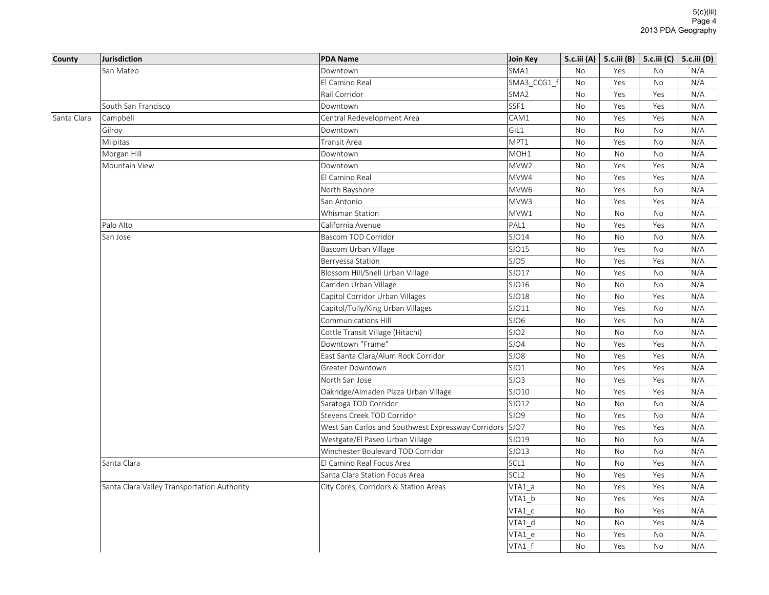|                       | <b>Jurisdiction</b>                         | <b>PDA Name</b>                                         | Join Key         |           | 5.c.iii (A)   5.c.iii (B)   5.c.iii (C)   5.c.iii (D) |           |     |
|-----------------------|---------------------------------------------|---------------------------------------------------------|------------------|-----------|-------------------------------------------------------|-----------|-----|
|                       | San Mateo                                   | Downtown                                                | SMA1             | No        | Yes                                                   | No        | N/A |
|                       |                                             | El Camino Real                                          | SMA3_CCG1_f      | No        | Yes                                                   | No        | N/A |
|                       |                                             | Rail Corridor                                           | SMA2             | No        | Yes                                                   | Yes       | N/A |
|                       | South San Francisco                         | Downtown                                                | SSF1             | <b>No</b> | Yes                                                   | Yes       | N/A |
|                       | Campbell                                    | Central Redevelopment Area                              | CAM1             | No        | Yes                                                   | Yes       | N/A |
|                       | Gilroy                                      | Downtown                                                | GIL1             | <b>No</b> | <b>No</b>                                             | <b>No</b> | N/A |
|                       | Milpitas                                    | Transit Area                                            | MPT1             | No        | Yes                                                   | No        | N/A |
|                       | Morgan Hill                                 | Downtown                                                | MOH1             | No        | No                                                    | No        | N/A |
|                       | Mountain View                               | Downtown                                                | MVW <sub>2</sub> | <b>No</b> | Yes                                                   | Yes       | N/A |
|                       |                                             | El Camino Real                                          | MVW4             | <b>No</b> | Yes                                                   | Yes       | N/A |
|                       |                                             | North Bayshore                                          | MVW6             | No        | Yes                                                   | No        | N/A |
|                       |                                             | San Antonio                                             | MVW3             | No        | Yes                                                   | Yes       | N/A |
| County<br>Santa Clara |                                             | Whisman Station                                         | MVW1             | <b>No</b> | <b>No</b>                                             | No        | N/A |
|                       | Palo Alto                                   | California Avenue                                       | PAL1             | No        | Yes                                                   | Yes       | N/A |
|                       | San Jose                                    | Bascom TOD Corridor                                     | SJO14            | No        | No                                                    | No        | N/A |
|                       |                                             | Bascom Urban Village                                    | SJO15            | No        | Yes                                                   | No        | N/A |
|                       |                                             | Berryessa Station                                       | SJO5             | No        | Yes                                                   | Yes       | N/A |
|                       |                                             | Blossom Hill/Snell Urban Village                        | SJO17            | No        | Yes                                                   | No        | N/A |
|                       |                                             | Camden Urban Village                                    | SJO16            | <b>No</b> | <b>No</b>                                             | <b>No</b> | N/A |
|                       |                                             | Capitol Corridor Urban Villages                         | SJO18            | No        | No                                                    | Yes       | N/A |
|                       |                                             | Capitol/Tully/King Urban Villages                       | SJO11            | No        | Yes                                                   | No        | N/A |
|                       |                                             | Communications Hill                                     | SJO6             | No        | Yes                                                   | No        | N/A |
|                       |                                             | Cottle Transit Village (Hitachi)                        | SJO <sub>2</sub> | No        | No                                                    | No        | N/A |
|                       |                                             | Downtown "Frame"                                        | SJO4             | No        | Yes                                                   | Yes       | N/A |
|                       |                                             | East Santa Clara/Alum Rock Corridor                     | SJO8             | No        | Yes                                                   | Yes       | N/A |
|                       |                                             | Greater Downtown                                        | SJO1             | <b>No</b> | Yes                                                   | Yes       | N/A |
|                       |                                             | North San Jose                                          | SJO3             | <b>No</b> | Yes                                                   | Yes       | N/A |
|                       |                                             | Oakridge/Almaden Plaza Urban Village                    | SJO10            | No        | Yes                                                   | Yes       | N/A |
|                       |                                             | Saratoga TOD Corridor                                   | SJO12            | No        | No                                                    | No        | N/A |
|                       |                                             | Stevens Creek TOD Corridor                              | SJO9             | No        | Yes                                                   | No        | N/A |
|                       |                                             | West San Carlos and Southwest Expressway Corridors SJO7 |                  | No        | Yes                                                   | Yes       | N/A |
|                       |                                             | Westgate/El Paseo Urban Village                         | SJO19            | No        | No                                                    | No        | N/A |
|                       |                                             | Winchester Boulevard TOD Corridor                       | SJO13            | <b>No</b> | <b>No</b>                                             | No        | N/A |
|                       | Santa Clara                                 | El Camino Real Focus Area                               | SCL1             | No        | No                                                    | Yes       | N/A |
|                       |                                             | Santa Clara Station Focus Area                          | SCL <sub>2</sub> | No        | Yes                                                   | Yes       | N/A |
|                       | Santa Clara Valley Transportation Authority | City Cores, Corridors & Station Areas                   | $VTA1_a$         | No        | Yes                                                   | Yes       | N/A |
|                       |                                             |                                                         | VTA1 b           | No        | Yes                                                   | Yes       | N/A |
|                       |                                             |                                                         | VTA1_c           | No        | No                                                    | Yes       | N/A |
|                       |                                             |                                                         | VTA1_d           | No        | <b>No</b>                                             | Yes       | N/A |
|                       |                                             |                                                         | VTA1 e           | No        | Yes                                                   | No        | N/A |
|                       |                                             |                                                         | VTA1 f           | <b>No</b> | Yes                                                   | <b>No</b> | N/A |